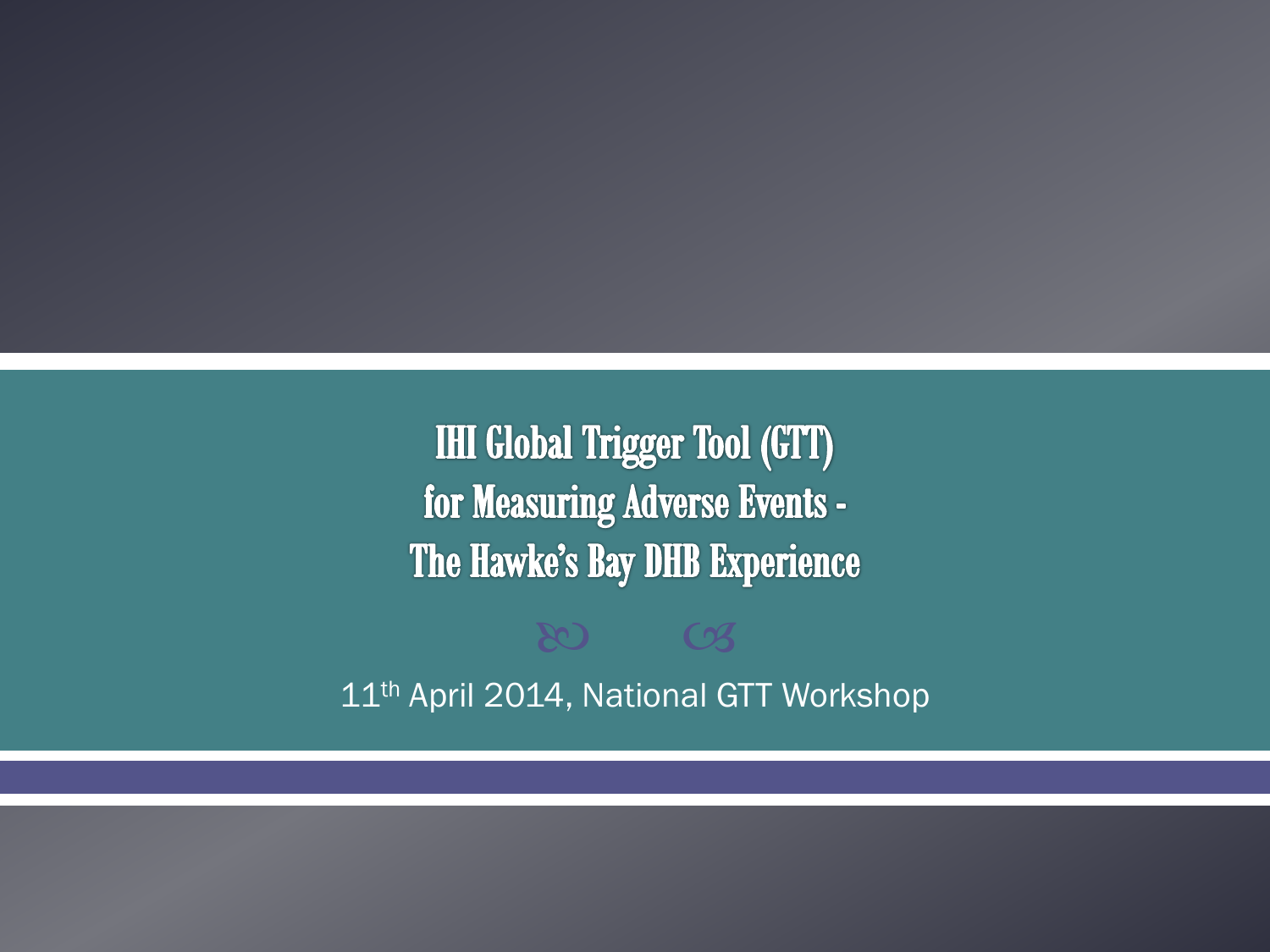**IHI Global Trigger Tool (GTT)** for Measuring Adverse Events -The Hawke's Bay DHB Experience

11<sup>th</sup> April 2014, National GTT Workshop

80 CB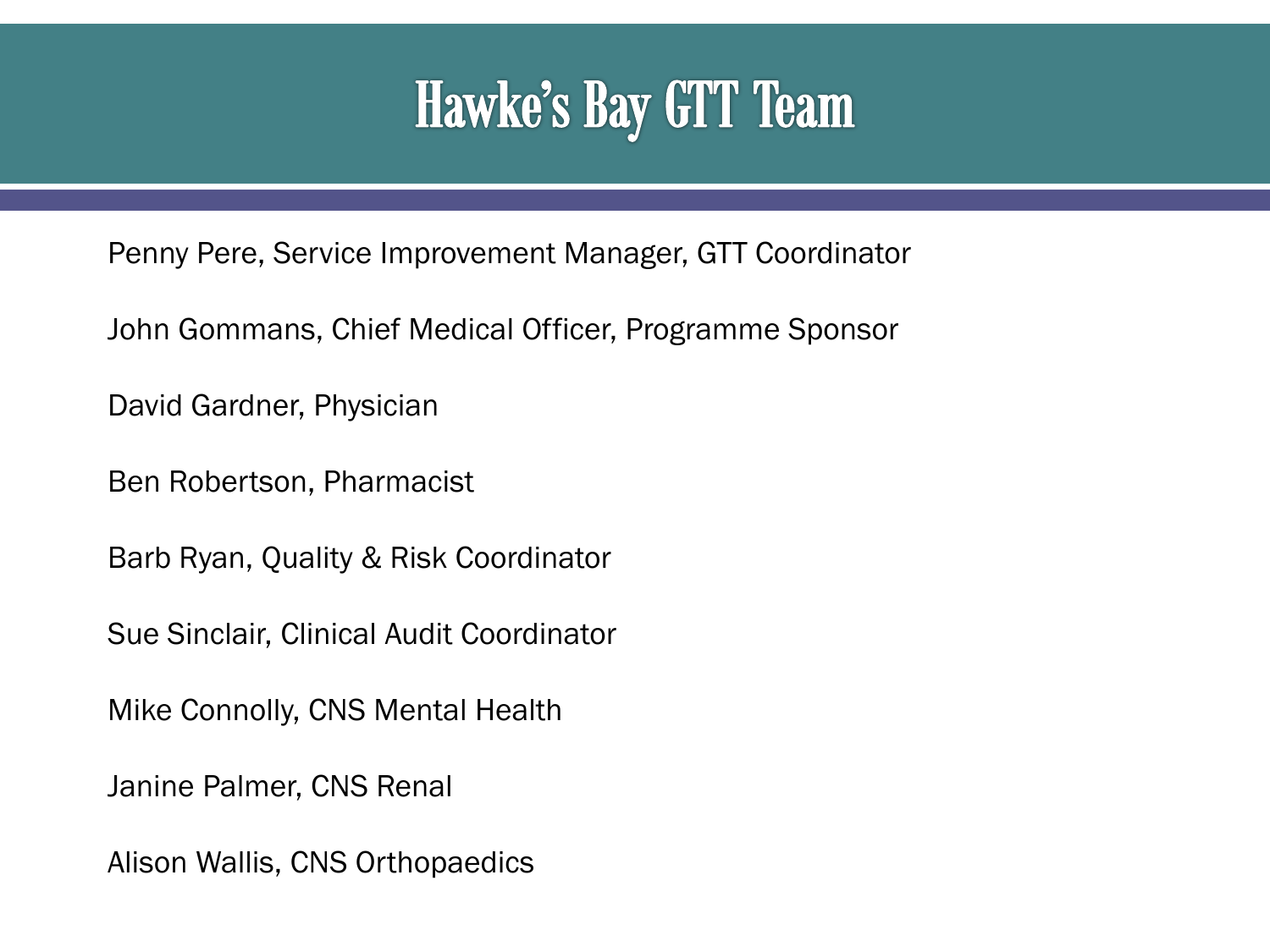# Hawke's Bay GTT Team

Penny Pere, Service Improvement Manager, GTT Coordinator

John Gommans, Chief Medical Officer, Programme Sponsor

David Gardner, Physician

Ben Robertson, Pharmacist

Barb Ryan, Quality & Risk Coordinator

Sue Sinclair, Clinical Audit Coordinator

Mike Connolly, CNS Mental Health

Janine Palmer, CNS Renal

Alison Wallis, CNS Orthopaedics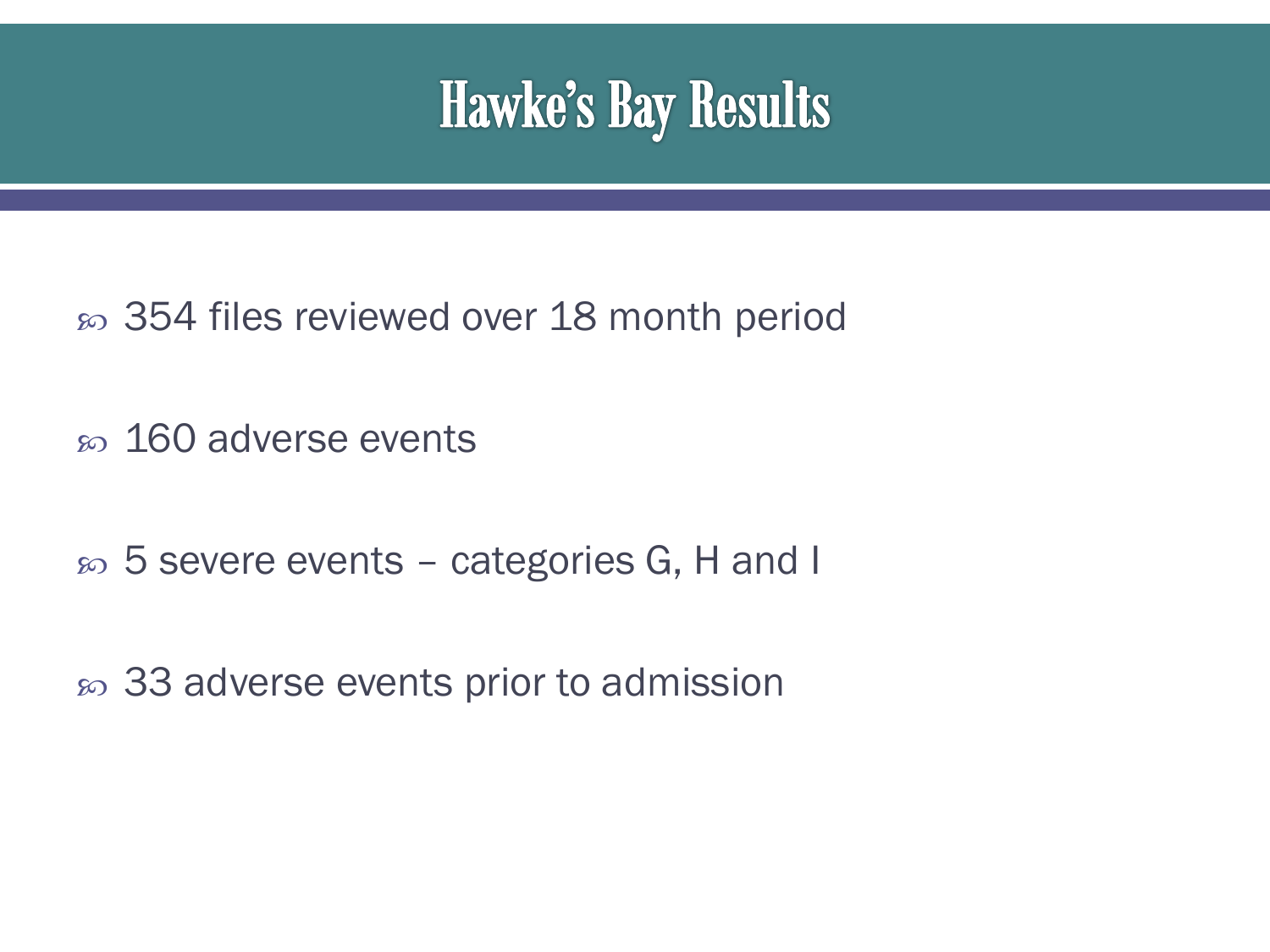

- 354 files reviewed over 18 month period
- so 160 adverse events
- 5 severe events categories G, H and I
- so 33 adverse events prior to admission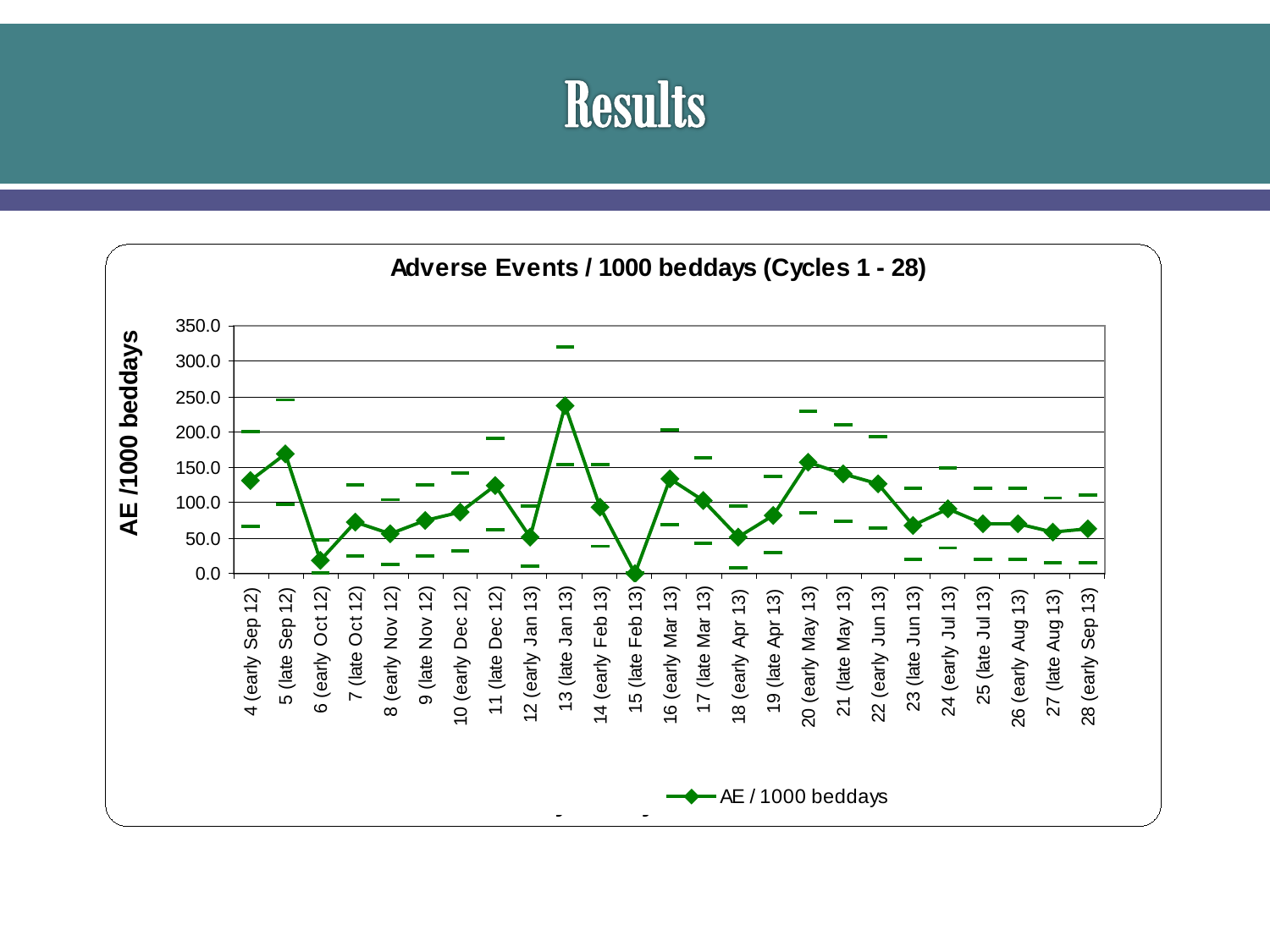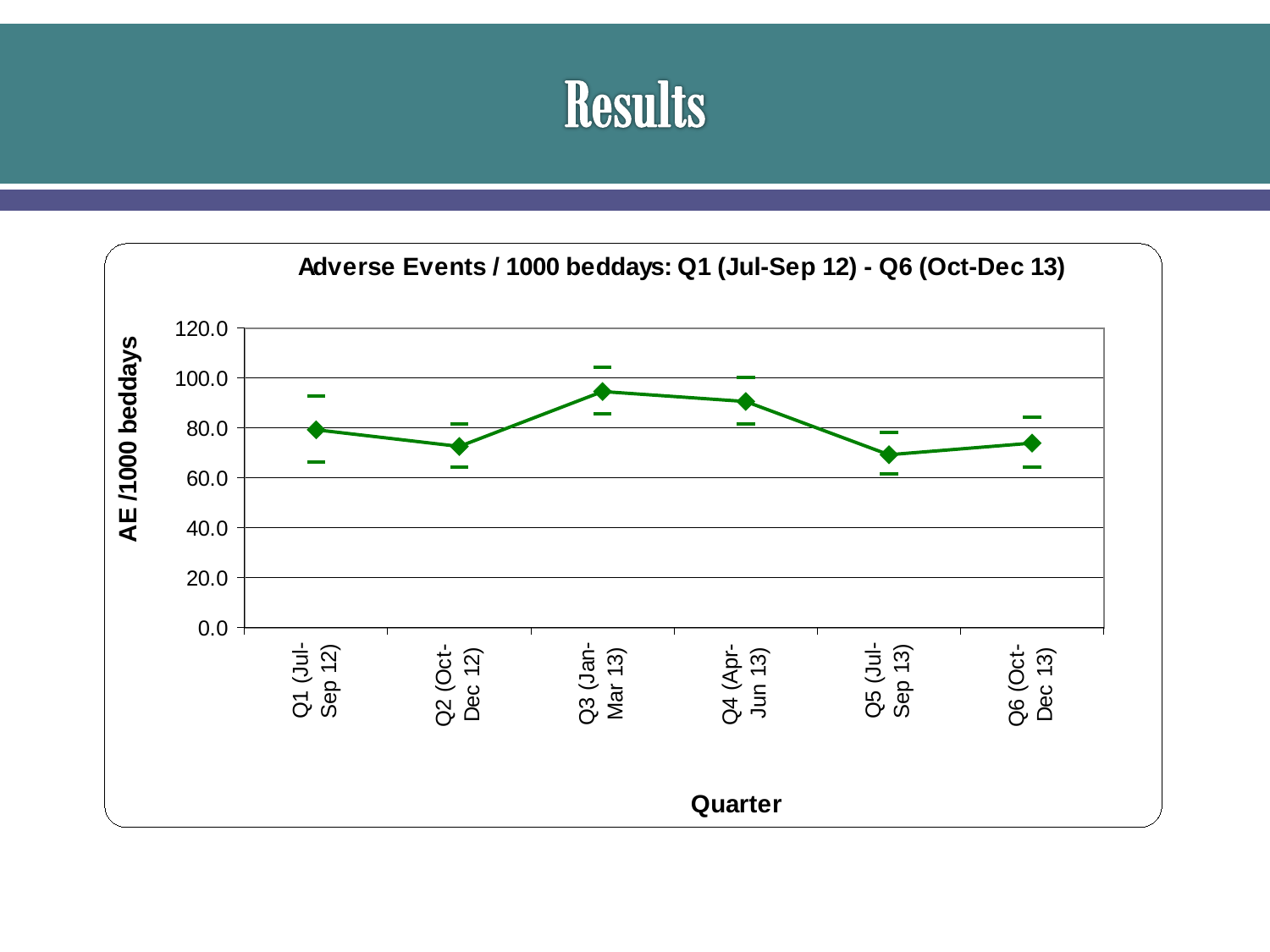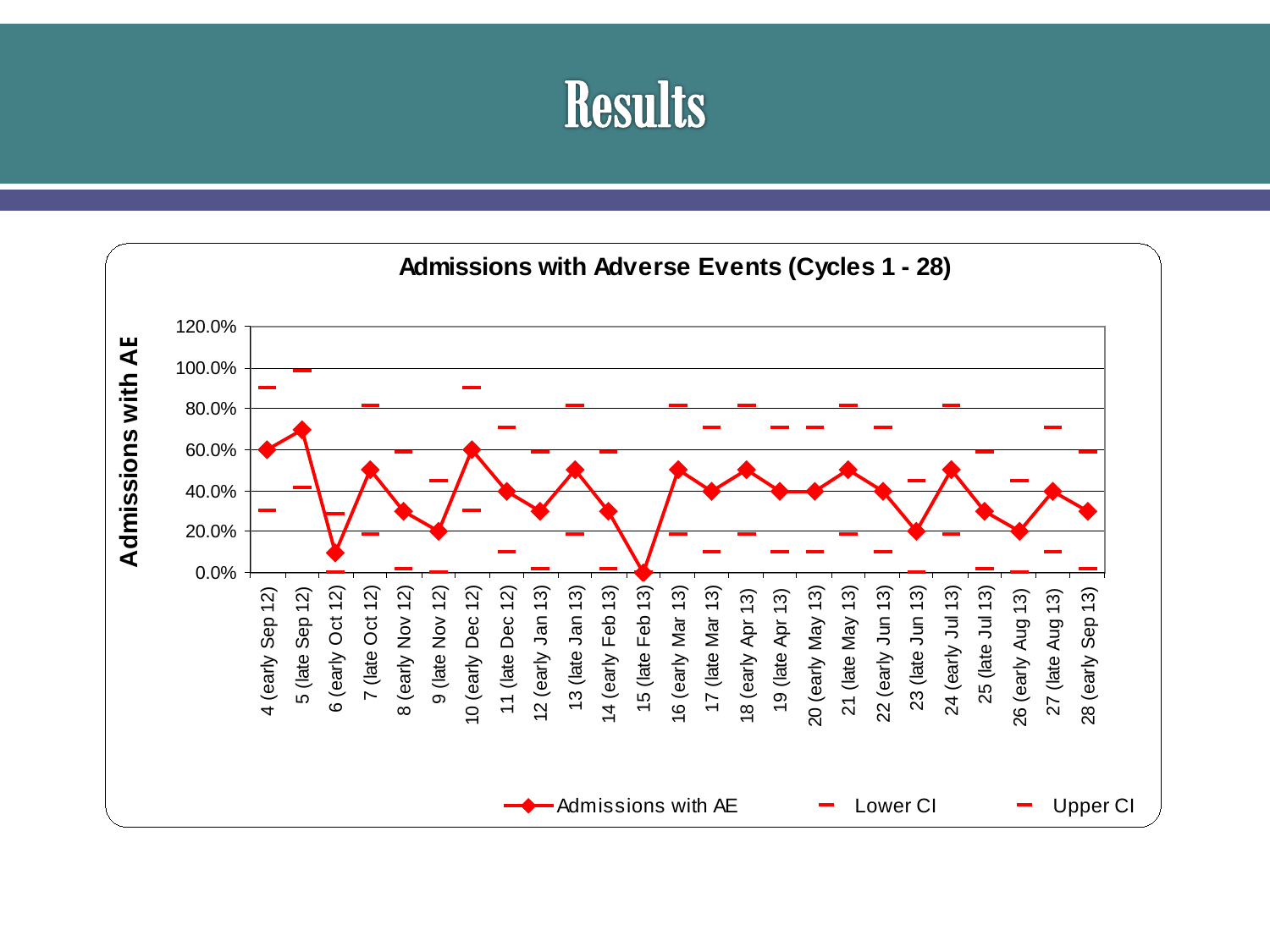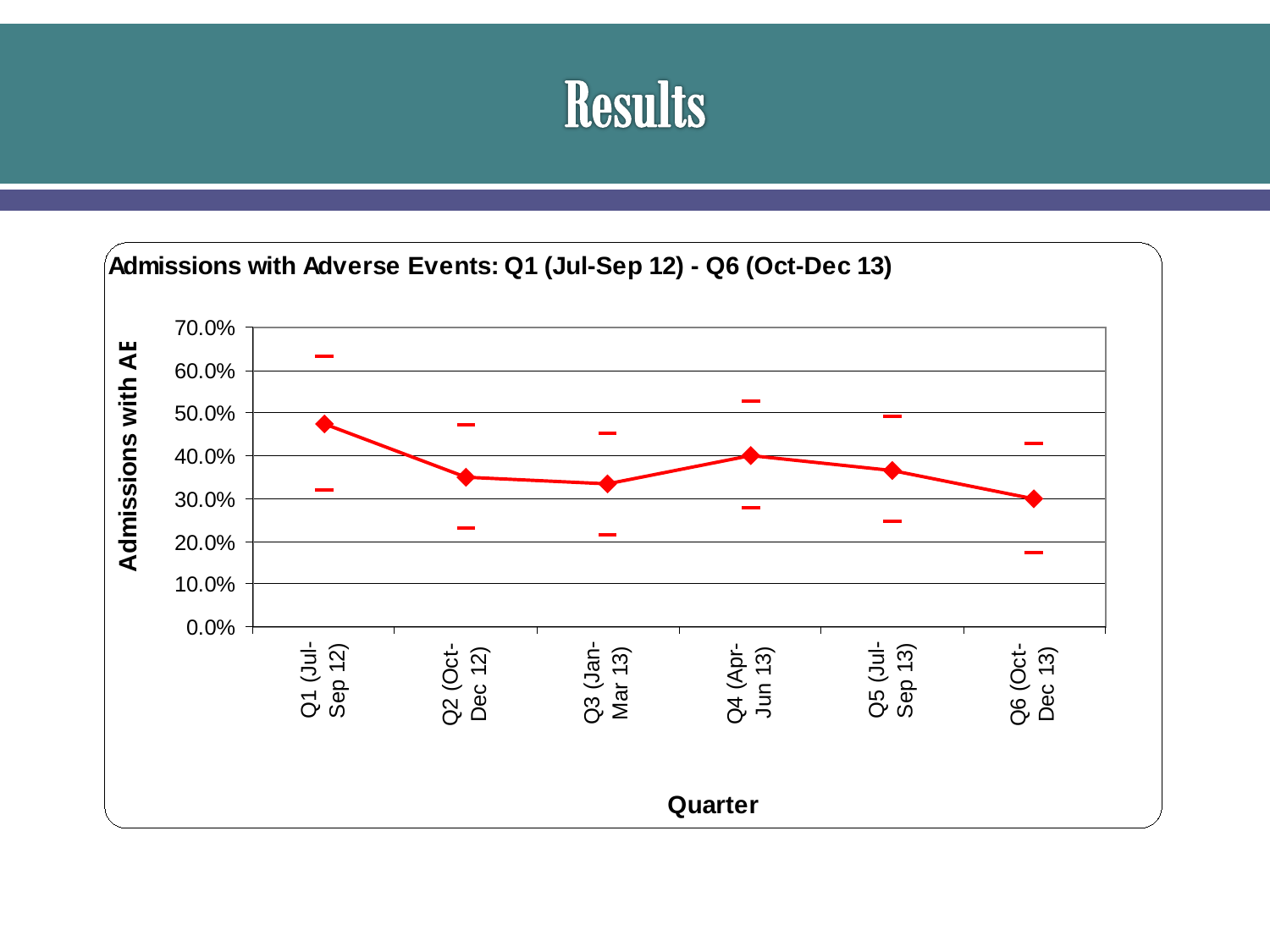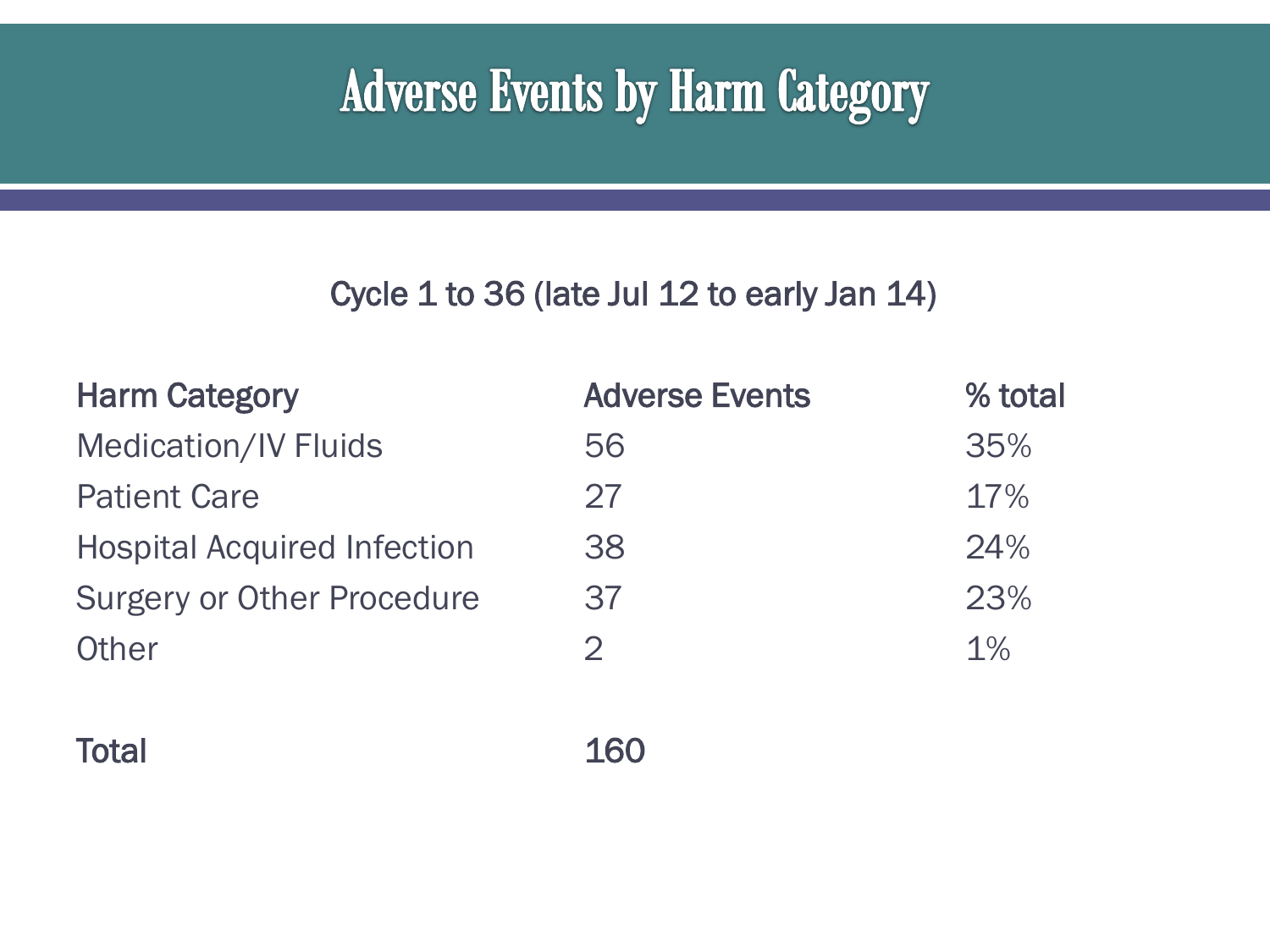## **Adverse Events by Harm Category**

#### Cycle 1 to 36 (late Jul 12 to early Jan 14)

| <b>Harm Category</b>               | <b>Adverse Events</b> | % total |
|------------------------------------|-----------------------|---------|
| <b>Medication/IV Fluids</b>        | 56                    | 35%     |
| <b>Patient Care</b>                | 27                    | 17%     |
| <b>Hospital Acquired Infection</b> | 38                    | 24%     |
| <b>Surgery or Other Procedure</b>  | 37                    | 23%     |
| Other                              | $\mathcal{D}$         | 1%      |
|                                    |                       |         |

Total 160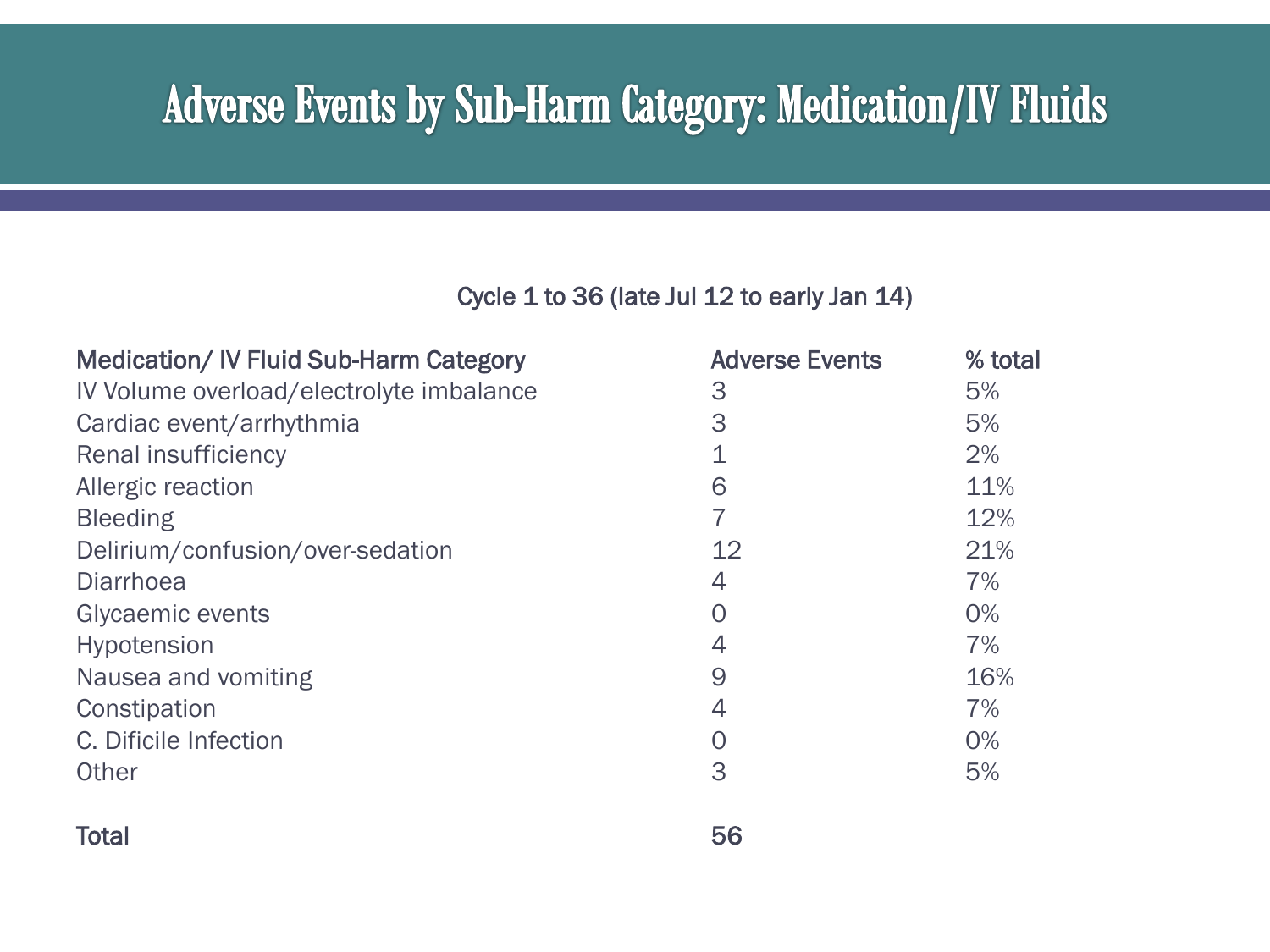#### **Adverse Events by Sub-Harm Category: Medication/IV Fluids**

| <b>Medication/IV Fluid Sub-Harm Category</b> | <b>Adverse Events</b> | % total |
|----------------------------------------------|-----------------------|---------|
| IV Volume overload/electrolyte imbalance     | 3                     | 5%      |
| Cardiac event/arrhythmia                     | 3                     | 5%      |
| <b>Renal insufficiency</b>                   |                       | 2%      |
| Allergic reaction                            | 6                     | 11%     |
| <b>Bleeding</b>                              |                       | 12%     |
| Delirium/confusion/over-sedation             | 12                    | 21%     |
| Diarrhoea                                    | 4                     | 7%      |
| Glycaemic events                             | ( )                   | $0\%$   |
| <b>Hypotension</b>                           | 4                     | 7%      |
| Nausea and vomiting                          | 9                     | 16%     |
| Constipation                                 | 4                     | 7%      |
| C. Dificile Infection                        |                       | 0%      |
| Other                                        | 3                     | 5%      |
|                                              |                       |         |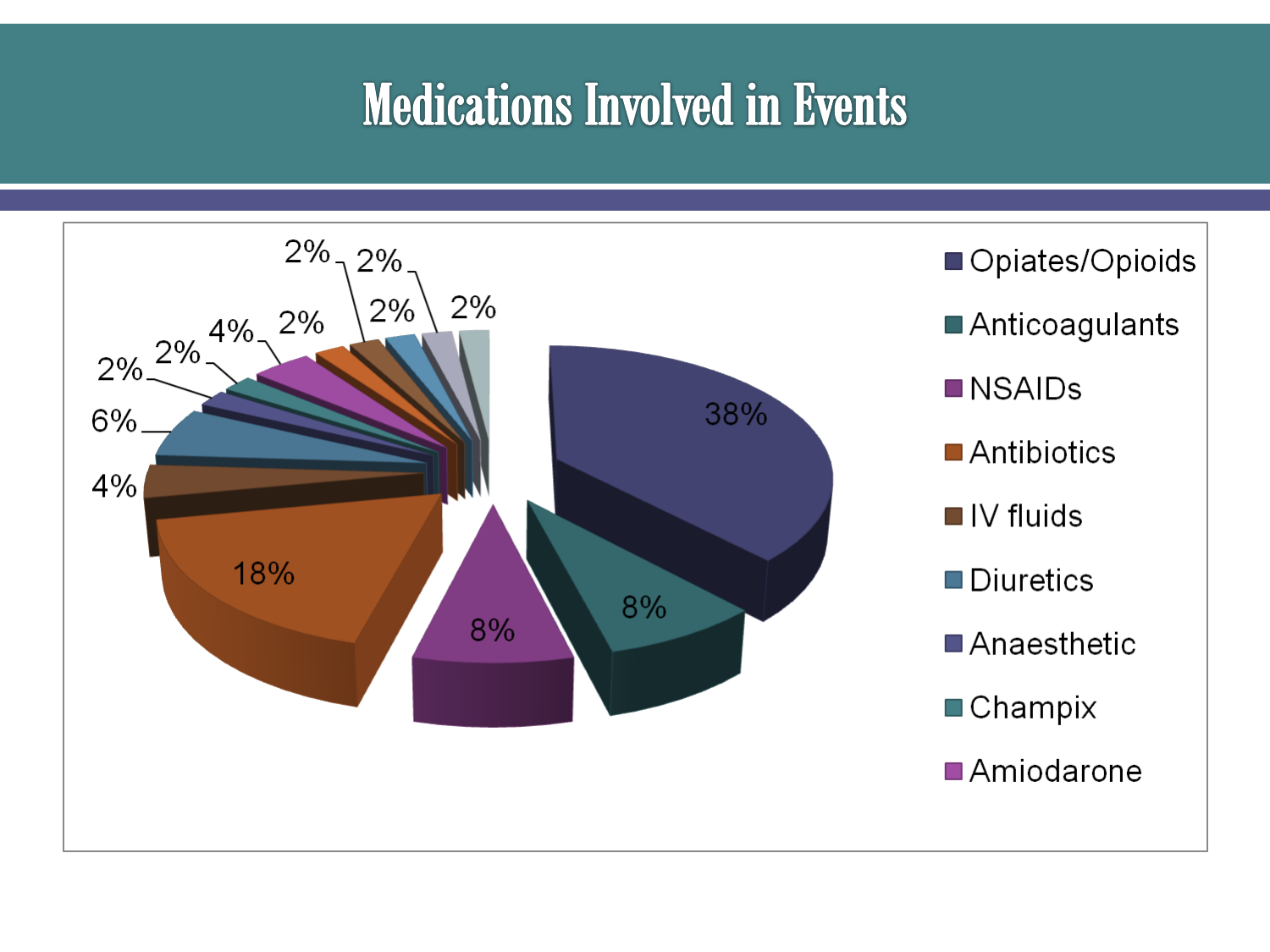# **Medications Involved in Events**

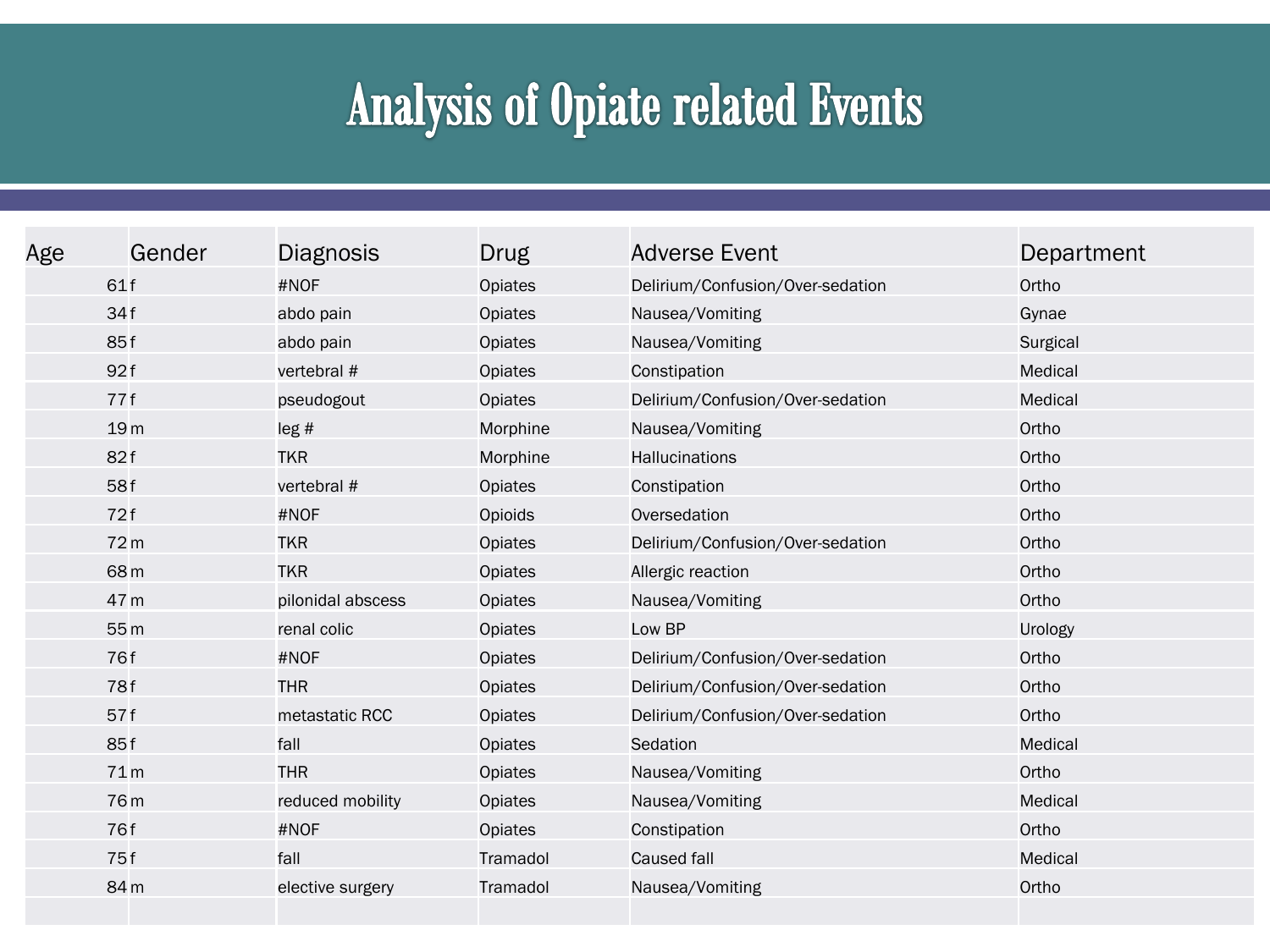# **Analysis of Opiate related Events**

| Age | Gender          | <b>Diagnosis</b>  | Drug           | <b>Adverse Event</b>             | Department |
|-----|-----------------|-------------------|----------------|----------------------------------|------------|
|     | 61f             | #NOF              | Opiates        | Delirium/Confusion/Over-sedation | Ortho      |
|     | 34f             | abdo pain         | Opiates        | Nausea/Vomiting                  | Gynae      |
|     | 85f             | abdo pain         | Opiates        | Nausea/Vomiting                  | Surgical   |
|     | 92f             | vertebral #       | Opiates        | Constipation                     | Medical    |
|     | 77f             | pseudogout        | Opiates        | Delirium/Confusion/Over-sedation | Medical    |
|     | 19 <sub>m</sub> | leg#              | Morphine       | Nausea/Vomiting                  | Ortho      |
|     | 82f             | <b>TKR</b>        | Morphine       | Hallucinations                   | Ortho      |
|     | 58f             | vertebral #       | Opiates        | Constipation                     | Ortho      |
|     | 72f             | #NOF              | Opioids        | Oversedation                     | Ortho      |
|     | 72 <sub>m</sub> | <b>TKR</b>        | Opiates        | Delirium/Confusion/Over-sedation | Ortho      |
|     | 68 <sub>m</sub> | <b>TKR</b>        | Opiates        | Allergic reaction                | Ortho      |
|     | 47 m            | pilonidal abscess | Opiates        | Nausea/Vomiting                  | Ortho      |
|     | 55 <sub>m</sub> | renal colic       | Opiates        | Low BP                           | Urology    |
|     | 76f             | #NOF              | <b>Opiates</b> | Delirium/Confusion/Over-sedation | Ortho      |
|     | 78f             | <b>THR</b>        | Opiates        | Delirium/Confusion/Over-sedation | Ortho      |
|     | 57f             | metastatic RCC    | Opiates        | Delirium/Confusion/Over-sedation | Ortho      |
|     | 85f             | fall              | Opiates        | Sedation                         | Medical    |
|     | 71 <sub>m</sub> | <b>THR</b>        | Opiates        | Nausea/Vomiting                  | Ortho      |
|     | 76 <sub>m</sub> | reduced mobility  | Opiates        | Nausea/Vomiting                  | Medical    |
|     | 76f             | #NOF              | Opiates        | Constipation                     | Ortho      |
|     | 75f             | fall              | Tramadol       | Caused fall                      | Medical    |
|     | 84 m            | elective surgery  | Tramadol       | Nausea/Vomiting                  | Ortho      |
|     |                 |                   |                |                                  |            |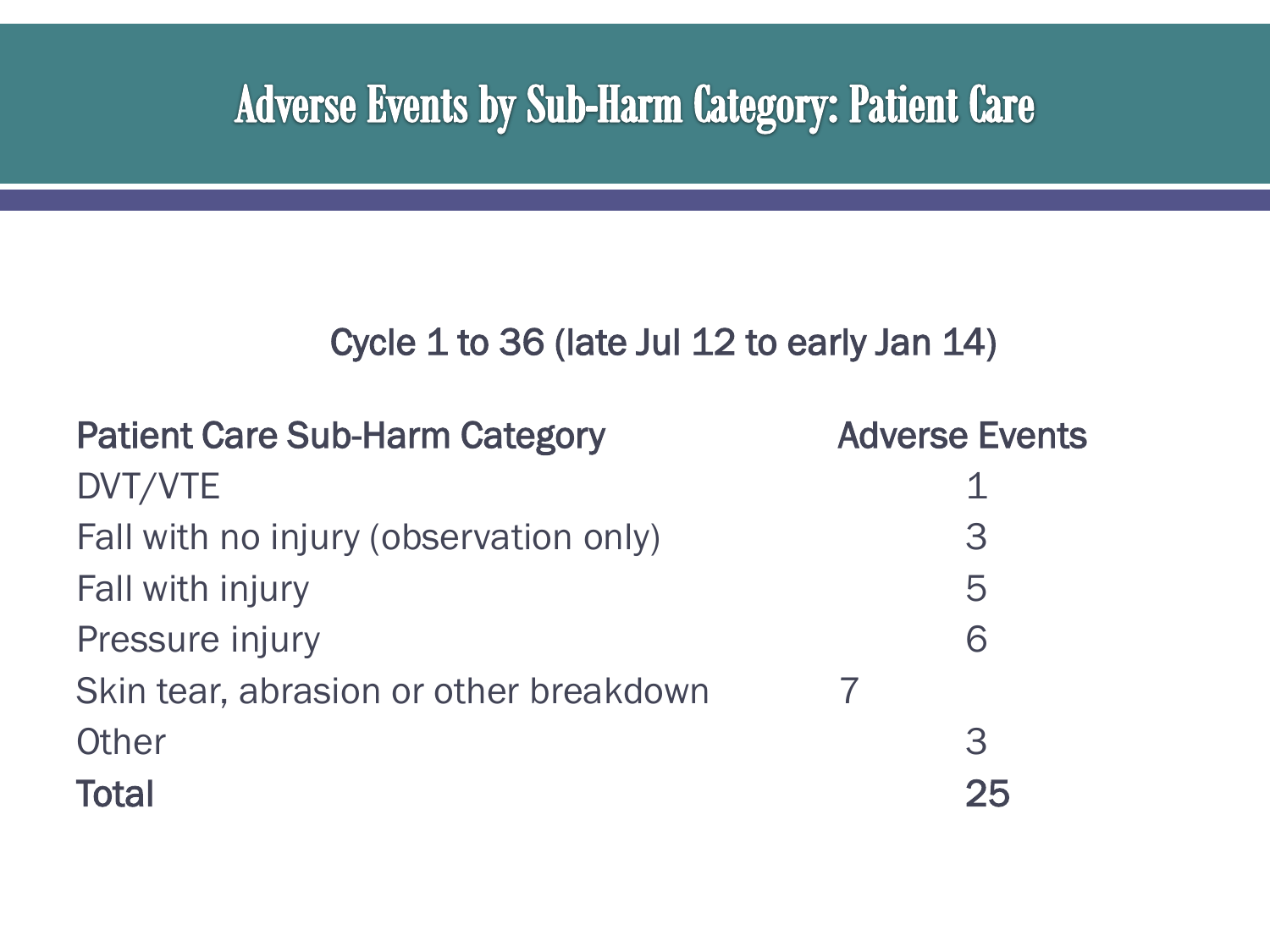#### **Adverse Events by Sub-Harm Category: Patient Care**

| <b>Patient Care Sub-Harm Category</b>  | <b>Adverse Events</b> |
|----------------------------------------|-----------------------|
| DVT/VTE                                |                       |
| Fall with no injury (observation only) | 3                     |
| Fall with injury                       | 5                     |
| Pressure injury                        | 6                     |
| Skin tear, abrasion or other breakdown |                       |
| Other                                  | 3                     |
| <b>Total</b>                           | 25                    |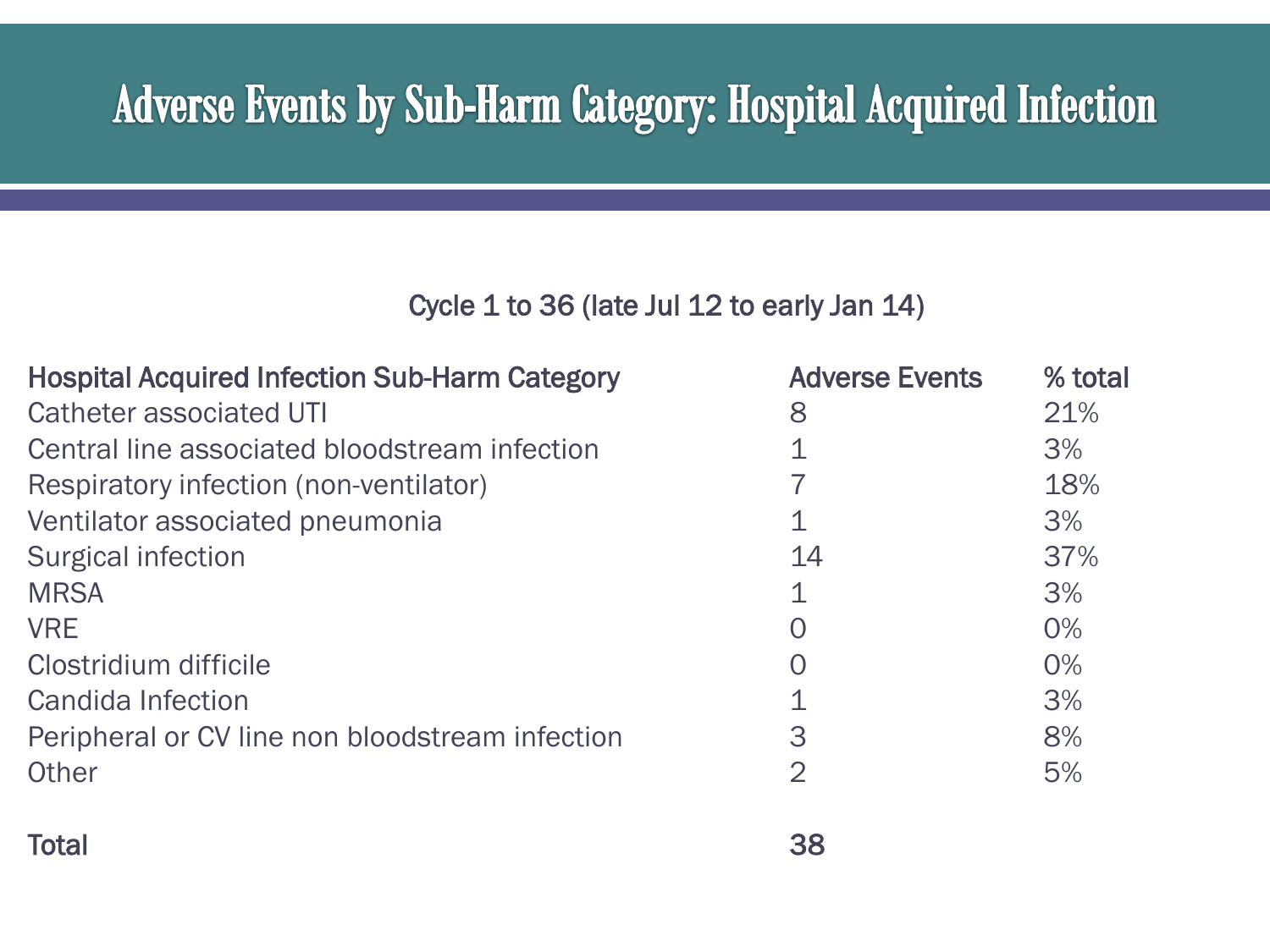## **Adverse Events by Sub-Harm Category: Hospital Acquired Infection**

| <b>Hospital Acquired Infection Sub-Harm Category</b> | <b>Adverse Events</b> | % total |
|------------------------------------------------------|-----------------------|---------|
| <b>Catheter associated UTI</b>                       | 8                     | 21%     |
| Central line associated bloodstream infection        |                       | 3%      |
| Respiratory infection (non-ventilator)               |                       | 18%     |
| Ventilator associated pneumonia                      |                       | 3%      |
| Surgical infection                                   | 14                    | 37%     |
| <b>MRSA</b>                                          |                       | 3%      |
| <b>VRE</b>                                           | O                     | $0\%$   |
| Clostridium difficile                                | $\mathcal{O}$         | $0\%$   |
| Candida Infection                                    |                       | 3%      |
| Peripheral or CV line non bloodstream infection      | 3                     | 8%      |
| Other                                                | 2                     | 5%      |
|                                                      |                       |         |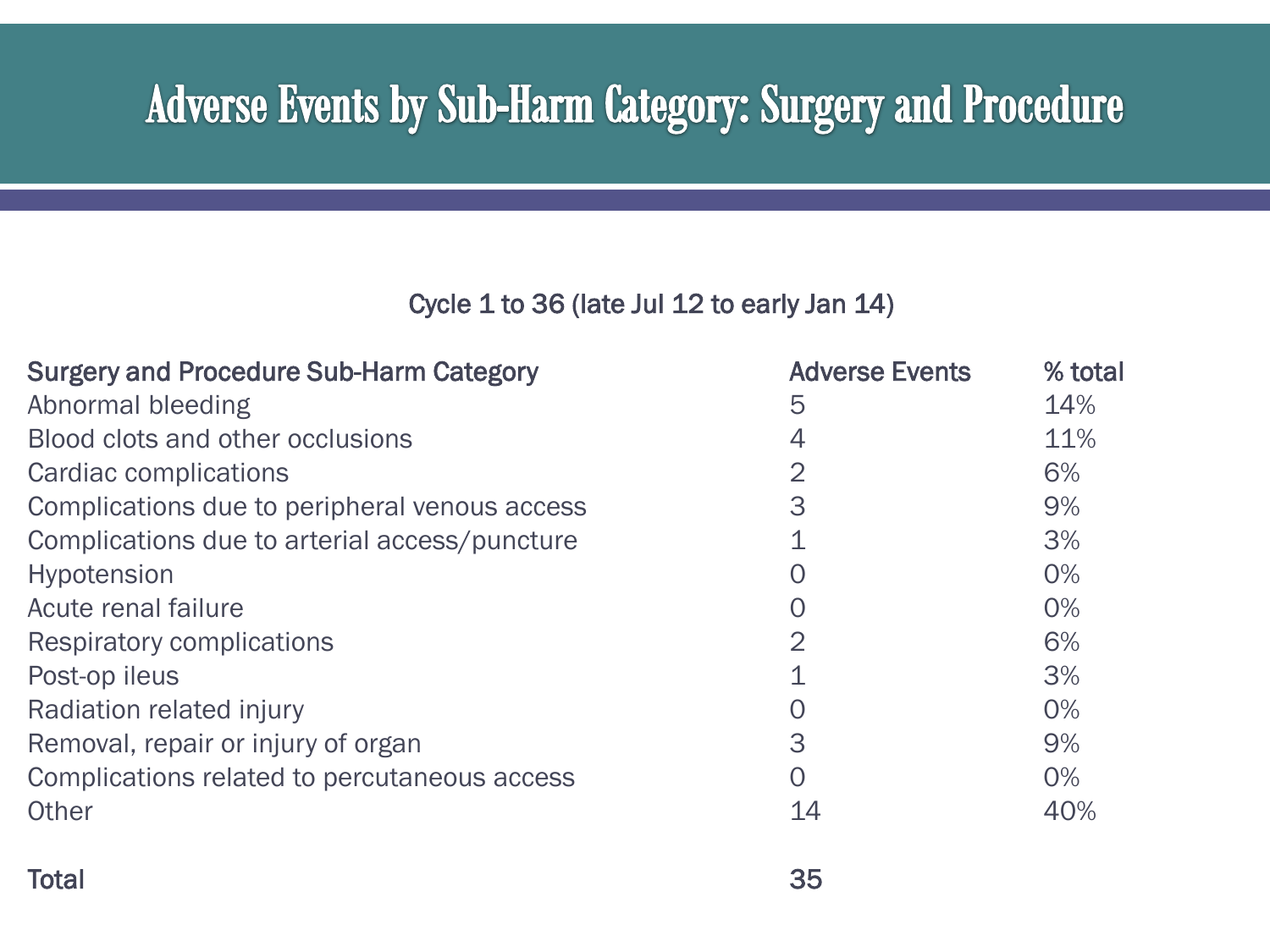### **Adverse Events by Sub-Harm Category: Surgery and Procedure**

| <b>Surgery and Procedure Sub-Harm Category</b> | <b>Adverse Events</b> | % total |
|------------------------------------------------|-----------------------|---------|
| Abnormal bleeding                              | 5                     | 14%     |
| Blood clots and other occlusions               | 4                     | 11%     |
| Cardiac complications                          | $\overline{2}$        | 6%      |
| Complications due to peripheral venous access  | 3                     | 9%      |
| Complications due to arterial access/puncture  | 1                     | 3%      |
| <b>Hypotension</b>                             | O                     | 0%      |
| Acute renal failure                            | 0                     | 0%      |
| <b>Respiratory complications</b>               | $\overline{2}$        | 6%      |
| Post-op ileus                                  | $\mathbf 1$           | 3%      |
| Radiation related injury                       | O                     | 0%      |
| Removal, repair or injury of organ             | 3                     | 9%      |
| Complications related to percutaneous access   | $\overline{O}$        | 0%      |
| Other                                          | 14                    | 40%     |
| <b>Total</b>                                   | 35                    |         |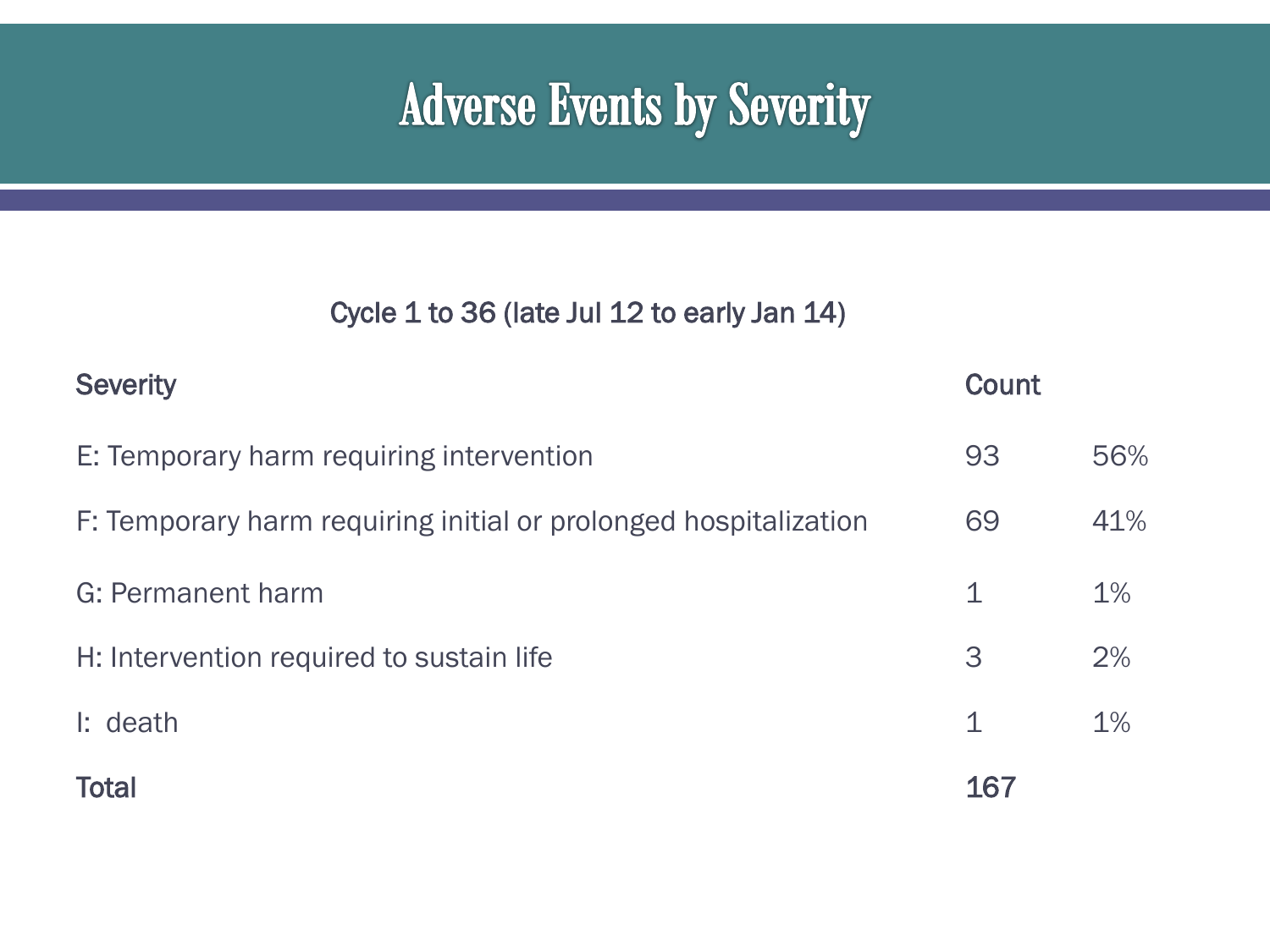# **Adverse Events by Severity**

| <b>Severity</b>                                                  | <b>Count</b> |       |
|------------------------------------------------------------------|--------------|-------|
| E: Temporary harm requiring intervention                         | 93           | 56%   |
| F: Temporary harm requiring initial or prolonged hospitalization | 69           | 41%   |
| G: Permanent harm                                                | 1            | $1\%$ |
| H: Intervention required to sustain life                         | 3            | 2%    |
| $\mathsf{I}:$ death                                              | 1            | $1\%$ |
| <b>Total</b>                                                     | 167          |       |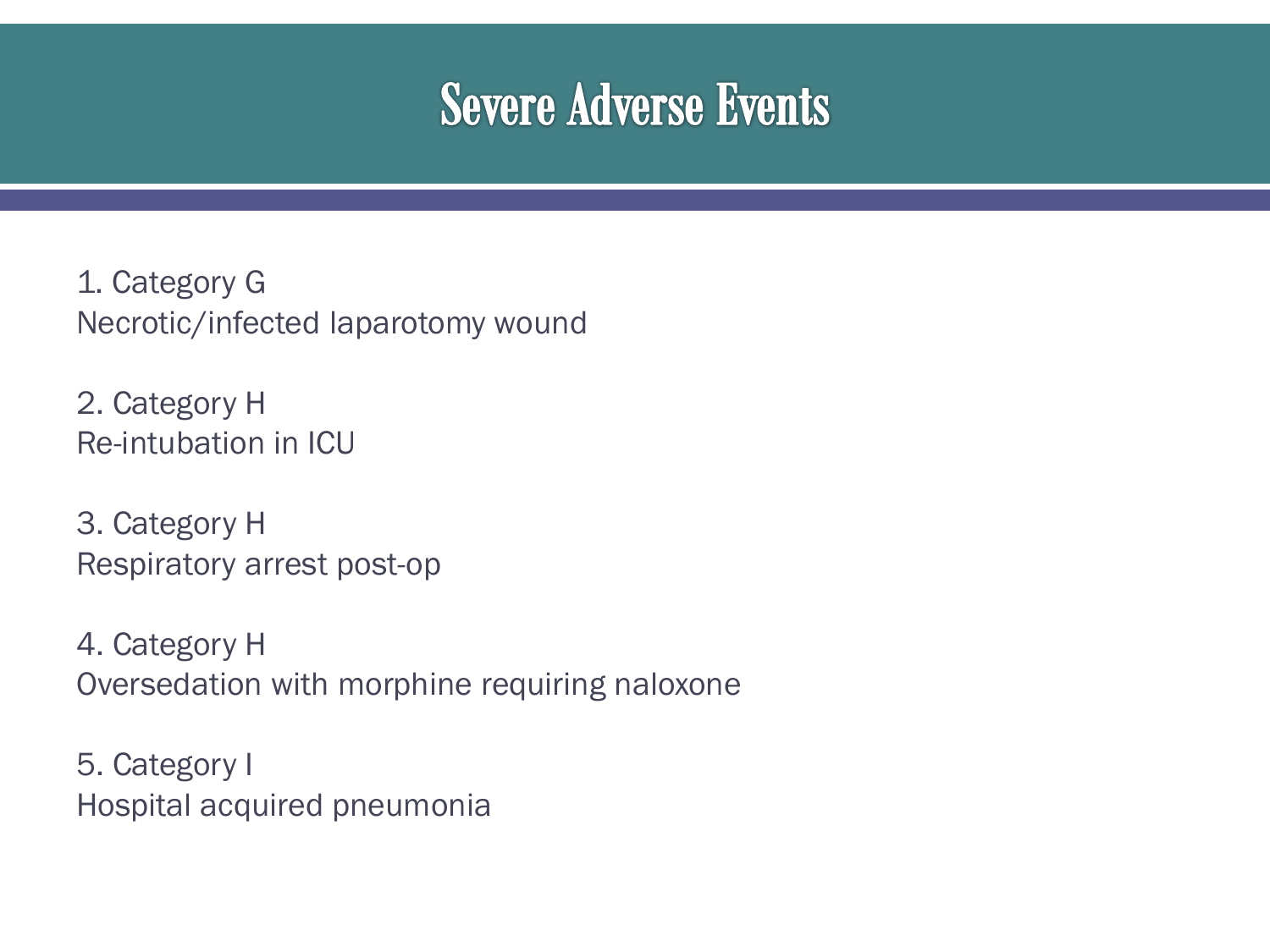## **Severe Adverse Events**

1. Category G Necrotic/infected laparotomy wound

2. Category H Re-intubation in ICU

3. Category H Respiratory arrest post-op

4. Category H Oversedation with morphine requiring naloxone

5. Category I Hospital acquired pneumonia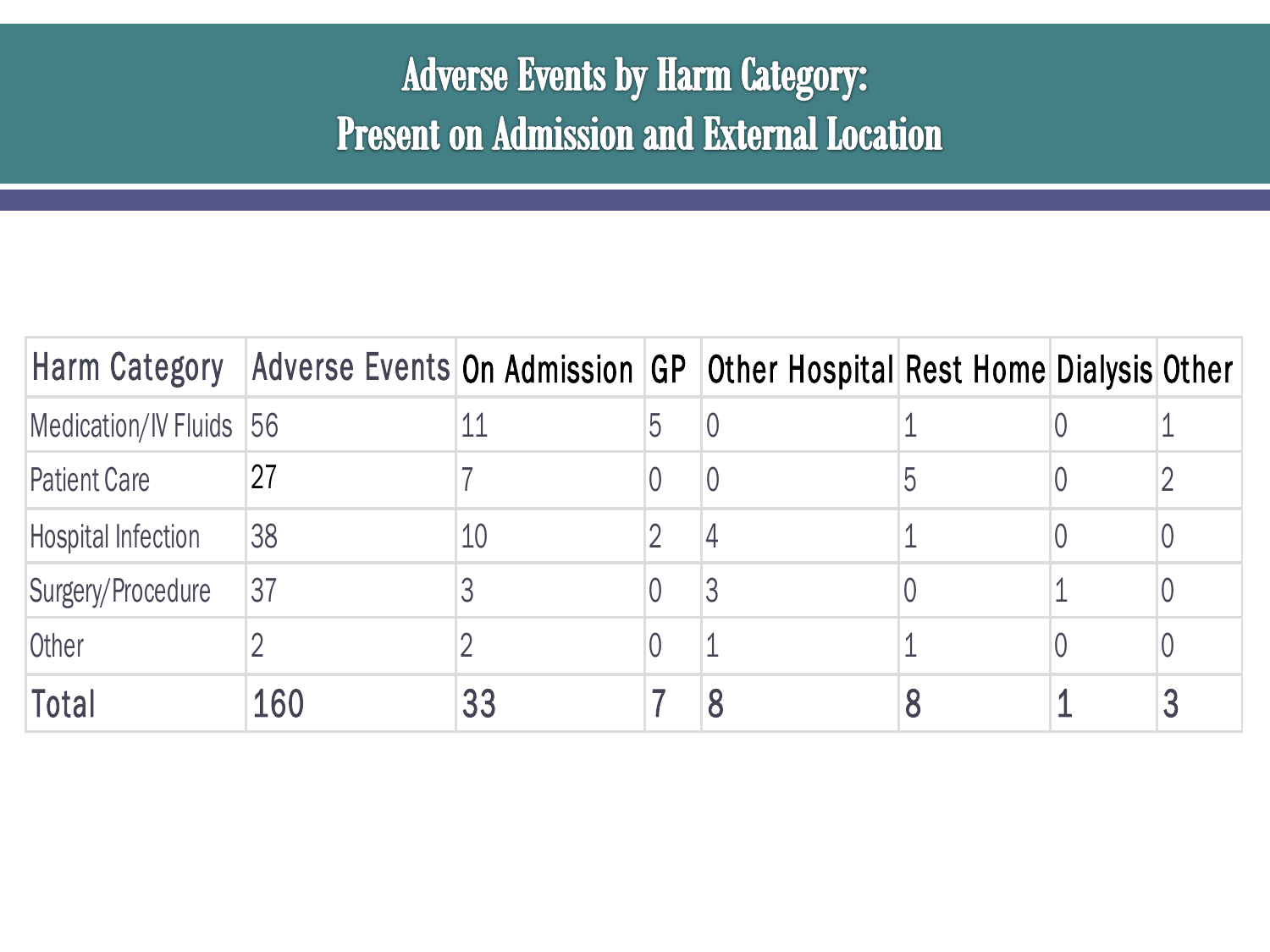#### **Adverse Events by Harm Category: Present on Admission and External Location**

| Harm Category             | Adverse Events On Admission GP   Other Hospital Rest Home Dialysis Other |    |   |   |  |
|---------------------------|--------------------------------------------------------------------------|----|---|---|--|
| Medication/IV Fluids 56   |                                                                          |    |   |   |  |
| <b>Patient Care</b>       | 27                                                                       |    |   | 5 |  |
| <b>Hospital Infection</b> | 38                                                                       | 10 |   |   |  |
| Surgery/Procedure         | 37                                                                       |    | 3 |   |  |
| Other                     |                                                                          |    |   |   |  |
| Total                     | 160                                                                      | 33 |   |   |  |